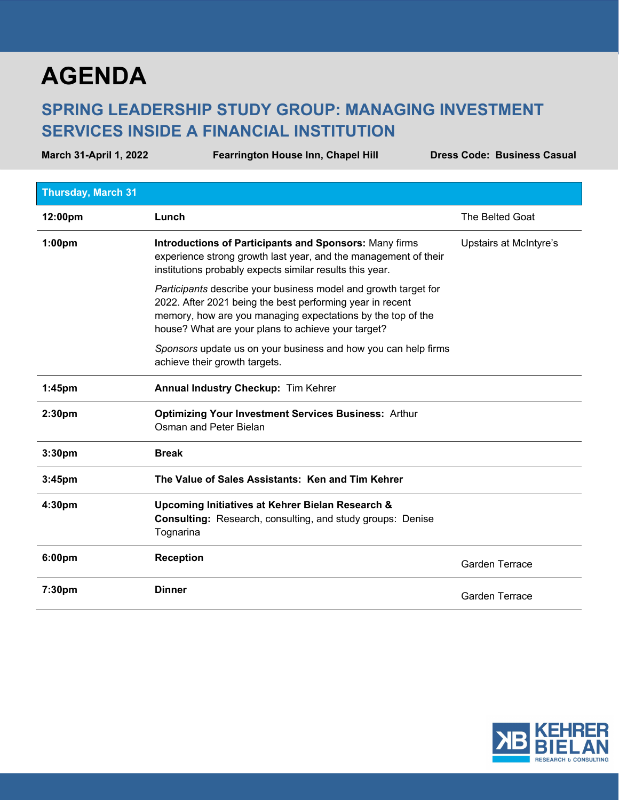## **AGENDA**

## **SPRING LEADERSHIP STUDY GROUP: MANAGING INVESTMENT SERVICES INSIDE A FINANCIAL INSTITUTION**

**March 31-April 1, 2022 Fearrington House Inn, Chapel Hill Dress Code: Business Casual Thursday, March 31 12:00pm Lunch Lunch Lunch Lunch The Belted Goat 1:00pm Introductions of Participants and Sponsors:** Many firms experience strong growth last year, and the management of their institutions probably expects similar results this year. *Participants* describe your business model and growth target for 2022. After 2021 being the best performing year in recent memory, how are you managing expectations by the top of the house? What are your plans to achieve your target? *Sponsors* update us on your business and how you can help firms achieve their growth targets. Upstairs at McIntyre's **1:45pm Annual Industry Checkup:** Tim Kehrer **2:30pm Optimizing Your Investment Services Business:** Arthur Osman and Peter Bielan **3:30pm Break 3:45pm The Value of Sales Assistants: Ken and Tim Kehrer 4:30pm Upcoming Initiatives at Kehrer Bielan Research & Consulting:** Research, consulting, and study groups: Denise Tognarina **6:00pm Reception** Garden Terrace **7:30pm Dinner Dinner Community Community Community Community Community Carden Terrace**